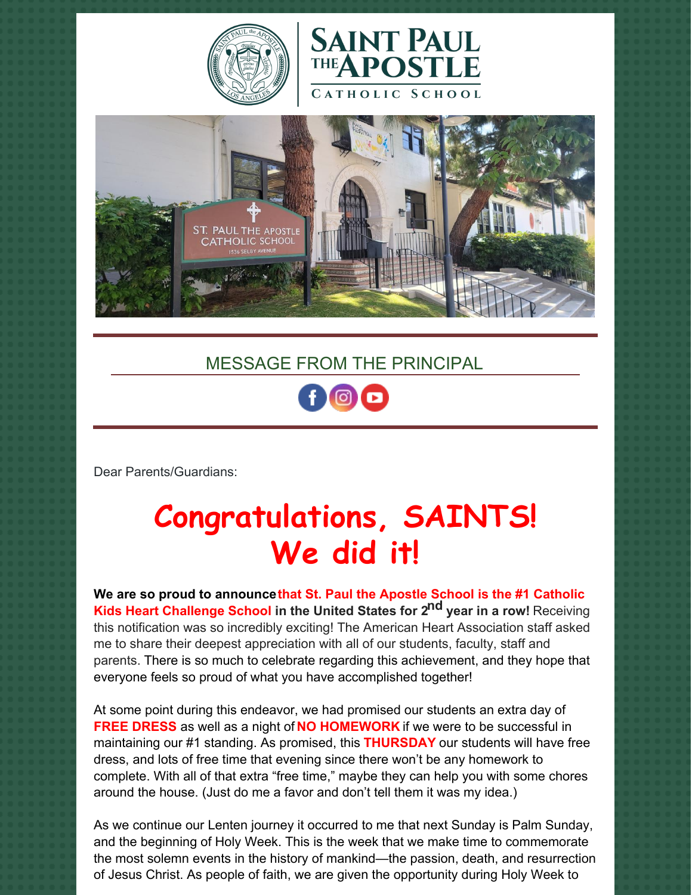





## MESSAGE FROM THE PRINCIPAL



Dear Parents/Guardians:

# **Congratulations, SAINTS! We did it!**

**We are so proud to announcethat St. Paul the Apostle School is the #1 Catholic Kids Heart Challenge School in the United States for 2 nd year in a row!** Receiving this notification was so incredibly exciting! The American Heart Association staff asked me to share their deepest appreciation with all of our students, faculty, staff and parents. There is so much to celebrate regarding this achievement, and they hope that everyone feels so proud of what you have accomplished together!

At some point during this endeavor, we had promised our students an extra day of **FREE DRESS** as well as a night of **NO HOMEWORK** if we were to be successful in maintaining our #1 standing. As promised, this **THURSDAY** our students will have free dress, and lots of free time that evening since there won't be any homework to complete. With all of that extra "free time," maybe they can help you with some chores around the house. (Just do me a favor and don't tell them it was my idea.)

As we continue our Lenten journey it occurred to me that next Sunday is Palm Sunday, and the beginning of Holy Week. This is the week that we make time to commemorate the most solemn events in the history of mankind—the passion, death, and resurrection of Jesus Christ. As people of faith, we are given the opportunity during Holy Week to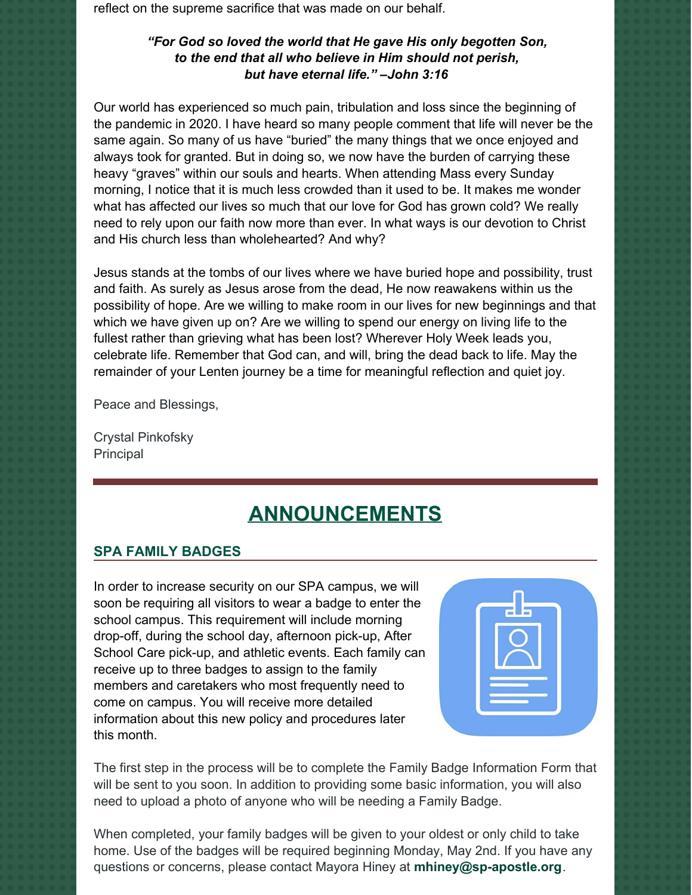reflect on the supreme sacrifice that was made on our behalf.

#### *"For God so loved the world that He gave His only begotten Son, to the end that all who believe in Him should not perish, but have eternal life." –John 3:16*

Our world has experienced so much pain, tribulation and loss since the beginning of the pandemic in 2020. I have heard so many people comment that life will never be the same again. So many of us have "buried" the many things that we once enjoyed and always took for granted. But in doing so, we now have the burden of carrying these heavy "graves" within our souls and hearts. When attending Mass every Sunday morning, I notice that it is much less crowded than it used to be. It makes me wonder what has affected our lives so much that our love for God has grown cold? We really need to rely upon our faith now more than ever. In what ways is our devotion to Christ and His church less than wholehearted? And why?

Jesus stands at the tombs of our lives where we have buried hope and possibility, trust and faith. As surely as Jesus arose from the dead, He now reawakens within us the possibility of hope. Are we willing to make room in our lives for new beginnings and that which we have given up on? Are we willing to spend our energy on living life to the fullest rather than grieving what has been lost? Wherever Holy Week leads you, celebrate life. Remember that God can, and will, bring the dead back to life. May the remainder of your Lenten journey be a time for meaningful reflection and quiet joy.

Peace and Blessings,

Crystal Pinkofsky **Principal** 

## **ANNOUNCEMENTS**

#### **SPA FAMILY BADGES**

In order to increase security on our SPA campus, we will soon be requiring all visitors to wear a badge to enter the school campus. This requirement will include morning drop-off, during the school day, afternoon pick-up, After School Care pick-up, and athletic events. Each family can receive up to three badges to assign to the family members and caretakers who most frequently need to come on campus. You will receive more detailed information about this new policy and procedures later this month.



The first step in the process will be to complete the Family Badge Information Form that will be sent to you soon. In addition to providing some basic information, you will also need to upload a photo of anyone who will be needing a Family Badge.

When completed, your family badges will be given to your oldest or only child to take home. Use of the badges will be required beginning Monday, May 2nd. If you have any questions or concerns, please contact Mayora Hiney at **[mhiney@sp-apostle.org](mailto:mhiney@sp-apostle.org)**.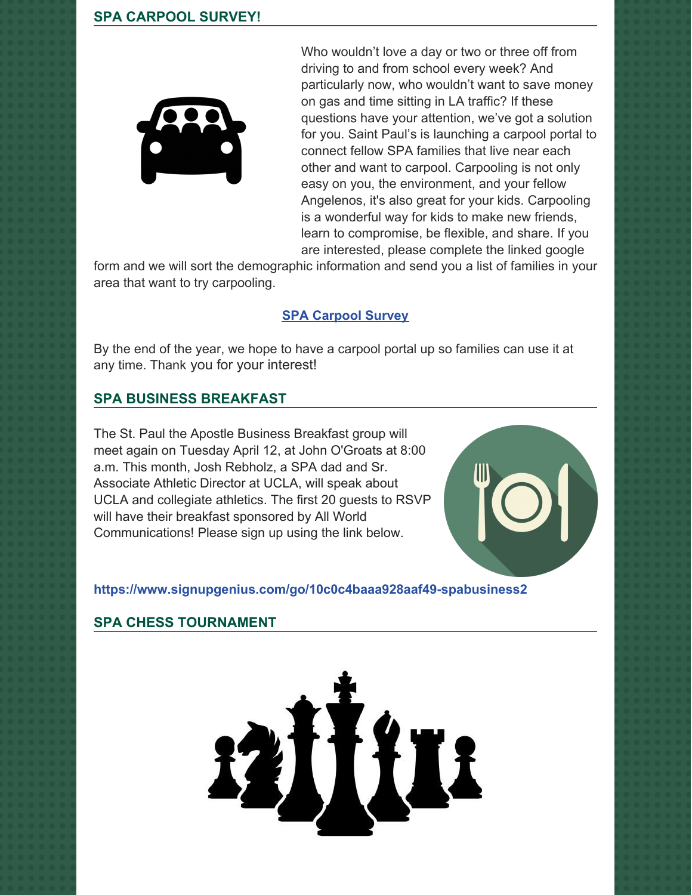#### **SPA CARPOOL SURVEY!**



Who wouldn't love a day or two or three off from driving to and from school every week? And particularly now, who wouldn't want to save money on gas and time sitting in LA traffic? If these questions have your attention, we've got a solution for you. Saint Paul's is launching a carpool portal to connect fellow SPA families that live near each other and want to carpool. Carpooling is not only easy on you, the environment, and your fellow Angelenos, it's also great for your kids. Carpooling is a wonderful way for kids to make new friends, learn to compromise, be flexible, and share. If you are interested, please complete the linked google

form and we will sort the demographic information and send you a list of families in your area that want to try carpooling.

#### **SPA [Carpool](https://docs.google.com/forms/d/e/1FAIpQLScLjqBrzKfE7m43iTeH7YdU1iFhmNZ5jjmI9xPf6nOF9dnMSQ/viewform) Survey**

By the end of the year, we hope to have a carpool portal up so families can use it at any time. Thank you for your interest!

#### **SPA BUSINESS BREAKFAST**

The St. Paul the Apostle Business Breakfast group will meet again on Tuesday April 12, at John O'Groats at 8:00 a.m. This month, Josh Rebholz, a SPA dad and Sr. Associate Athletic Director at UCLA, will speak about UCLA and collegiate athletics. The first 20 guests to RSVP will have their breakfast sponsored by All World Communications! Please sign up using the link below.



#### **<https://www.signupgenius.com/go/10c0c4baaa928aaf49-spabusiness2>**

#### **SPA CHESS TOURNAMENT**

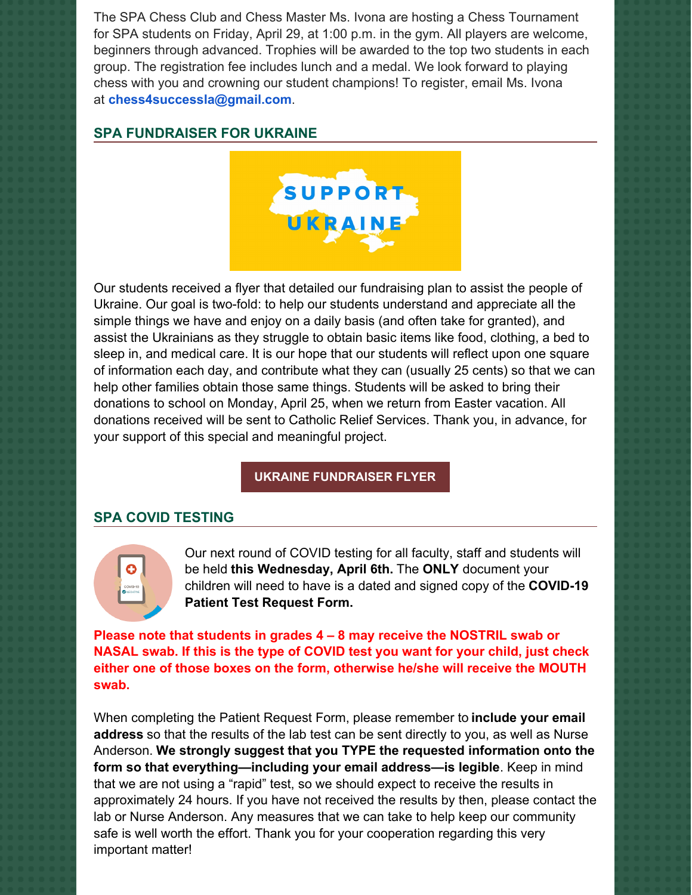The SPA Chess Club and Chess Master Ms. Ivona are hosting a Chess Tournament for SPA students on Friday, April 29, at 1:00 p.m. in the gym. All players are welcome, beginners through advanced. Trophies will be awarded to the top two students in each group. The registration fee includes lunch and a medal. We look forward to playing chess with you and crowning our student champions! To register, email Ms. Ivona at **[chess4successla@gmail.com](mailto:chess4successla@gmail.com)**.

#### **SPA FUNDRAISER FOR UKRAINE**



Our students received a flyer that detailed our fundraising plan to assist the people of Ukraine. Our goal is two-fold: to help our students understand and appreciate all the simple things we have and enjoy on a daily basis (and often take for granted), and assist the Ukrainians as they struggle to obtain basic items like food, clothing, a bed to sleep in, and medical care. It is our hope that our students will reflect upon one square of information each day, and contribute what they can (usually 25 cents) so that we can help other families obtain those same things. Students will be asked to bring their donations to school on Monday, April 25, when we return from Easter vacation. All donations received will be sent to Catholic Relief Services. Thank you, in advance, for your support of this special and meaningful project.

#### **UKRAINE [FUNDRAISER](https://school.sp-apostle.org/wp-content/uploads/2022/03/I-Am-Blessed-Ukraine-Fundraiser.pdf) FLYER**

#### **SPA COVID TESTING**



Our next round of COVID testing for all faculty, staff and students will be held **this Wednesday, April 6th.** The **ONLY** document your children will need to have is a dated and signed copy of the **COVID-19 Patient Test Request Form.**

**Please note that students in grades 4 – 8 may receive the NOSTRIL swab or NASAL swab. If this is the type of COVID test you want for your child, just check either one of those boxes on the form, otherwise he/she will receive the MOUTH swab.**

When completing the Patient Request Form, please remember to **include your email address** so that the results of the lab test can be sent directly to you, as well as Nurse Anderson. **We strongly suggest that you TYPE the requested information onto the form so that everything—including your email address—is legible**. Keep in mind that we are not using a "rapid" test, so we should expect to receive the results in approximately 24 hours. If you have not received the results by then, please contact the lab or Nurse Anderson. Any measures that we can take to help keep our community safe is well worth the effort. Thank you for your cooperation regarding this very important matter!